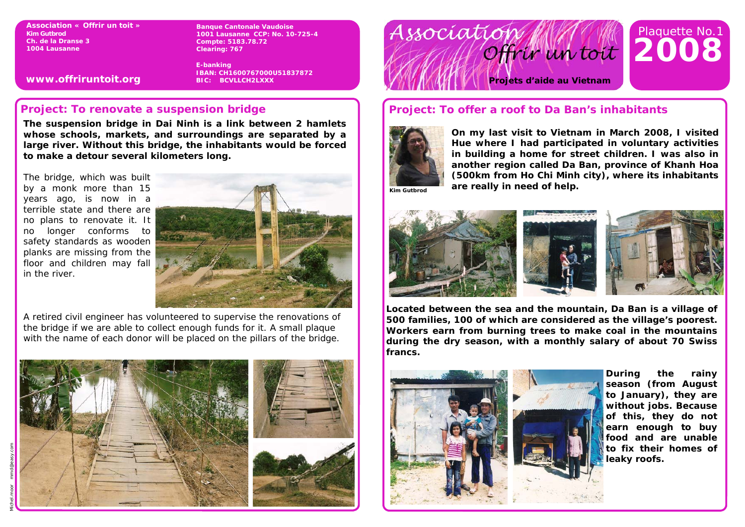**Association « Offrir un toit » Kim Gutbrod Ch. de la Dranse 3 1004 Lausanne** 

**www.offriruntoit.org** 

**Banque Cantonale Vaudoise 1001 Lausanne CCP: No. 10-725-4 Compte: 5183.78.72 Clearing: 767** 

**E-banking IBAN: CH1600767000U51837872 BIC: BCVLLCH2LXXX** 

## **Project: To renovate a suspension bridge**

**The suspension bridge in Dai Ninh is a link between 2 hamlets whose schools, markets, and surroundings are separated by a large river. Without this bridge, the inhabitants would be forced to make a detour several kilometers long.** 

The bridge, which was built by a monk more than 15 years ago, is now in a terrible state and there are no plans to renovate it. It no longer conforms to safety standards as wooden planks are missing from the floor and children may fall in the river.



A retired civil engineer has volunteered to supervise the renovations of the bridge if we are able to collect enough funds for it. A small plaque with the name of each donor will be placed on the pillars of the bridge.





# **Project: To offer a roof to Da Ban's inhabitants**



**On my last visit to Vietnam in March 2008, I visited Hue where I had participated in voluntary activities in building a home for street children. I was also in another region called Da Ban, province of Khanh Hoa (500km from Ho Chi Minh city), where its inhabitants are really in need of help. Allows are really in need of help.** 



**Located between the sea and the mountain, Da Ban is a village of 500 families, 100 of which are considered as the village's poorest. Workers earn from burning trees to make coal in the mountains during the dry season, with a monthly salary of about 70 Swiss francs.** 



**During the rainy season (from August to January), they are without jobs. Because of this, they do not earn enough to buy food and are unable to fix their homes of leaky roofs.**